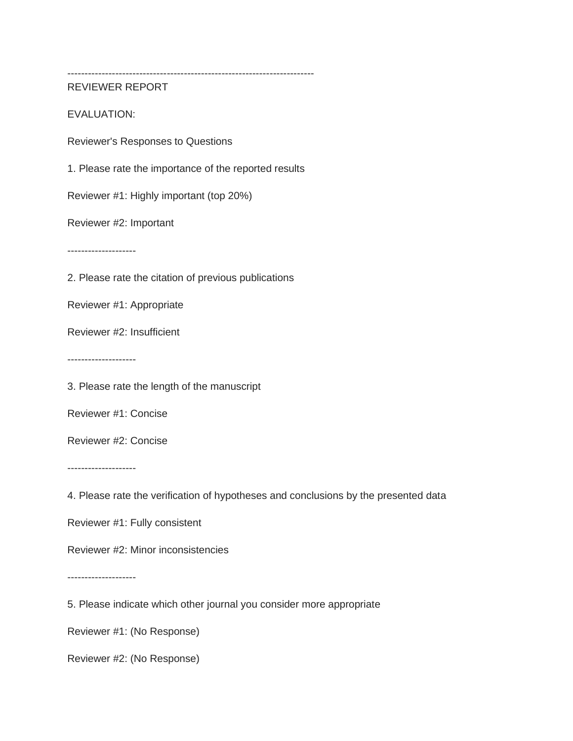------------------------------------------------------------------------

REVIEWER REPORT

EVALUATION:

Reviewer's Responses to Questions

1. Please rate the importance of the reported results

Reviewer #1: Highly important (top 20%)

Reviewer #2: Important

--------------------

2. Please rate the citation of previous publications

Reviewer #1: Appropriate

Reviewer #2: Insufficient

--------------------

3. Please rate the length of the manuscript

Reviewer #1: Concise

Reviewer #2: Concise

--------------------

4. Please rate the verification of hypotheses and conclusions by the presented data

Reviewer #1: Fully consistent

Reviewer #2: Minor inconsistencies

--------------------

5. Please indicate which other journal you consider more appropriate

Reviewer #1: (No Response)

Reviewer #2: (No Response)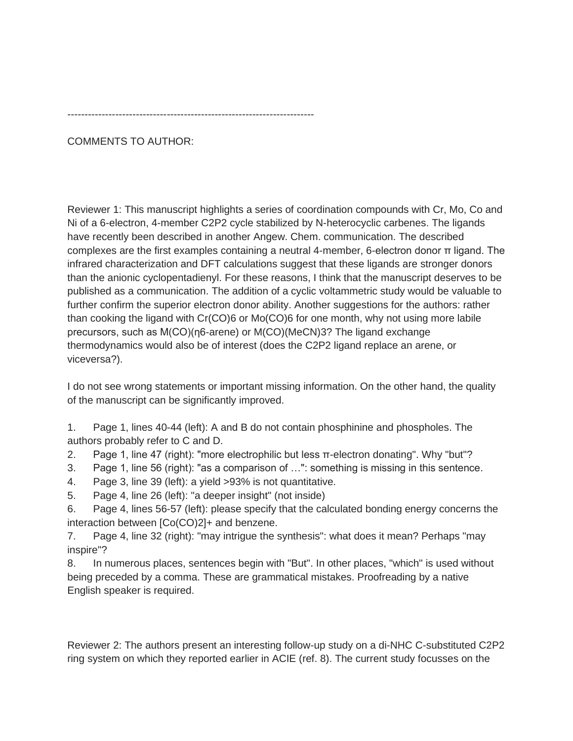------------------------------------------------------------------------

COMMENTS TO AUTHOR:

Reviewer 1: This manuscript highlights a series of coordination compounds with Cr, Mo, Co and Ni of a 6-electron, 4-member C2P2 cycle stabilized by N-heterocyclic carbenes. The ligands have recently been described in another Angew. Chem. communication. The described complexes are the first examples containing a neutral 4-member, 6-electron donor π ligand. The infrared characterization and DFT calculations suggest that these ligands are stronger donors than the anionic cyclopentadienyl. For these reasons, I think that the manuscript deserves to be published as a communication. The addition of a cyclic voltammetric study would be valuable to further confirm the superior electron donor ability. Another suggestions for the authors: rather than cooking the ligand with Cr(CO)6 or Mo(CO)6 for one month, why not using more labile precursors, such as M(CO)(η6-arene) or M(CO)(MeCN)3? The ligand exchange thermodynamics would also be of interest (does the C2P2 ligand replace an arene, or viceversa?).

I do not see wrong statements or important missing information. On the other hand, the quality of the manuscript can be significantly improved.

1. Page 1, lines 40-44 (left): A and B do not contain phosphinine and phospholes. The authors probably refer to C and D.

- 2. Page 1, line 47 (right): "more electrophilic but less π-electron donating". Why "but"?
- 3. Page 1, line 56 (right): "as a comparison of …": something is missing in this sentence.
- 4. Page 3, line 39 (left): a yield >93% is not quantitative.
- 5. Page 4, line 26 (left): "a deeper insight" (not inside)

6. Page 4, lines 56-57 (left): please specify that the calculated bonding energy concerns the interaction between [Co(CO)2]+ and benzene.

7. Page 4, line 32 (right): "may intrigue the synthesis": what does it mean? Perhaps "may inspire"?

8. In numerous places, sentences begin with "But". In other places, "which" is used without being preceded by a comma. These are grammatical mistakes. Proofreading by a native English speaker is required.

Reviewer 2: The authors present an interesting follow-up study on a di-NHC C-substituted C2P2 ring system on which they reported earlier in ACIE (ref. 8). The current study focusses on the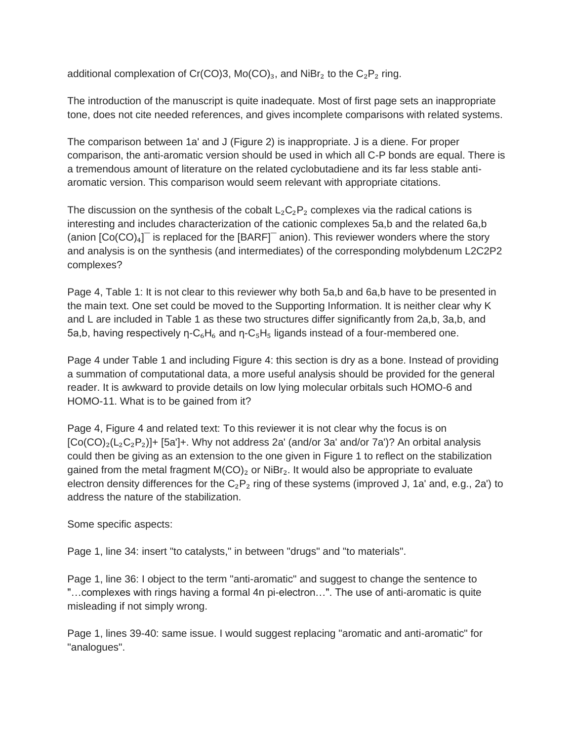additional complexation of Cr(CO)3, Mo(CO)<sub>3</sub>, and NiBr<sub>2</sub> to the C<sub>2</sub>P<sub>2</sub> ring.

The introduction of the manuscript is quite inadequate. Most of first page sets an inappropriate tone, does not cite needed references, and gives incomplete comparisons with related systems.

The comparison between 1a' and J (Figure 2) is inappropriate. J is a diene. For proper comparison, the anti-aromatic version should be used in which all C-P bonds are equal. There is a tremendous amount of literature on the related cyclobutadiene and its far less stable antiaromatic version. This comparison would seem relevant with appropriate citations.

The discussion on the synthesis of the cobalt  $L_2C_2P_2$  complexes via the radical cations is interesting and includes characterization of the cationic complexes 5a,b and the related 6a,b (anion  $[Co(CO)_4]$ <sup> $-$ </sup> is replaced for the  $[BARF]$ <sup> $-$ </sup> anion). This reviewer wonders where the story and analysis is on the synthesis (and intermediates) of the corresponding molybdenum L2C2P2 complexes?

Page 4, Table 1: It is not clear to this reviewer why both 5a,b and 6a,b have to be presented in the main text. One set could be moved to the Supporting Information. It is neither clear why K and L are included in Table 1 as these two structures differ significantly from 2a,b, 3a,b, and 5a,b, having respectively η- $C_6H_6$  and η- $C_5H_5$  ligands instead of a four-membered one.

Page 4 under Table 1 and including Figure 4: this section is dry as a bone. Instead of providing a summation of computational data, a more useful analysis should be provided for the general reader. It is awkward to provide details on low lying molecular orbitals such HOMO-6 and HOMO-11. What is to be gained from it?

Page 4, Figure 4 and related text: To this reviewer it is not clear why the focus is on  $[Co(CO)<sub>2</sub>(L<sub>2</sub>C<sub>2</sub>P<sub>2</sub>)]+ [5a'] +$ . Why not address 2a' (and/or 3a' and/or 7a')? An orbital analysis could then be giving as an extension to the one given in Figure 1 to reflect on the stabilization gained from the metal fragment  $M(CO)_2$  or  $NiBr_2$ . It would also be appropriate to evaluate electron density differences for the  $C_2P_2$  ring of these systems (improved J, 1a' and, e.g., 2a') to address the nature of the stabilization.

Some specific aspects:

Page 1, line 34: insert "to catalysts," in between "drugs" and "to materials".

Page 1, line 36: I object to the term "anti-aromatic" and suggest to change the sentence to "…complexes with rings having a formal 4n pi-electron…". The use of anti-aromatic is quite misleading if not simply wrong.

Page 1, lines 39-40: same issue. I would suggest replacing "aromatic and anti-aromatic" for "analogues".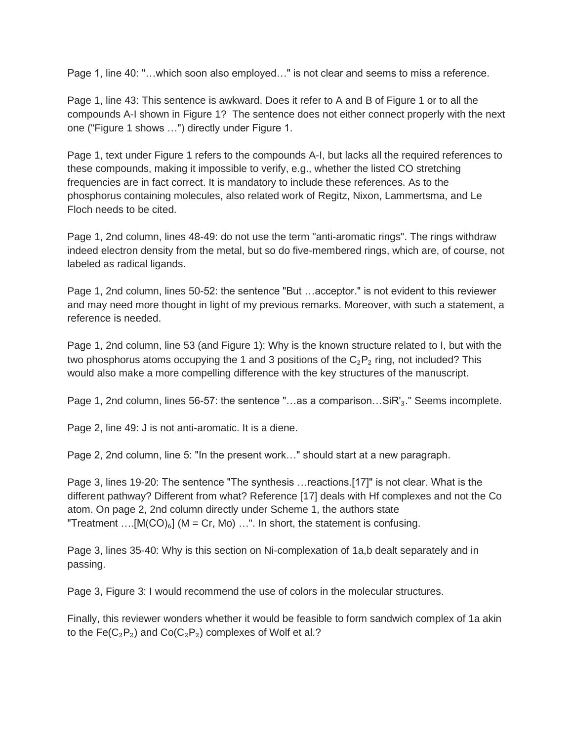Page 1, line 40: "…which soon also employed…" is not clear and seems to miss a reference.

Page 1, line 43: This sentence is awkward. Does it refer to A and B of Figure 1 or to all the compounds A-I shown in Figure 1? The sentence does not either connect properly with the next one ("Figure 1 shows …") directly under Figure 1.

Page 1, text under Figure 1 refers to the compounds A-I, but lacks all the required references to these compounds, making it impossible to verify, e.g., whether the listed CO stretching frequencies are in fact correct. It is mandatory to include these references. As to the phosphorus containing molecules, also related work of Regitz, Nixon, Lammertsma, and Le Floch needs to be cited.

Page 1, 2nd column, lines 48-49: do not use the term "anti-aromatic rings". The rings withdraw indeed electron density from the metal, but so do five-membered rings, which are, of course, not labeled as radical ligands.

Page 1, 2nd column, lines 50-52: the sentence "But …acceptor." is not evident to this reviewer and may need more thought in light of my previous remarks. Moreover, with such a statement, a reference is needed.

Page 1, 2nd column, line 53 (and Figure 1): Why is the known structure related to I, but with the two phosphorus atoms occupying the 1 and 3 positions of the  $C_2P_2$  ring, not included? This would also make a more compelling difference with the key structures of the manuscript.

Page 1, 2nd column, lines 56-57: the sentence "...as a comparison...SiR'<sub>3</sub>." Seems incomplete.

Page 2, line 49: J is not anti-aromatic. It is a diene.

Page 2, 2nd column, line 5: "In the present work…" should start at a new paragraph.

Page 3, lines 19-20: The sentence "The synthesis …reactions.[17]" is not clear. What is the different pathway? Different from what? Reference [17] deals with Hf complexes and not the Co atom. On page 2, 2nd column directly under Scheme 1, the authors state "Treatment  $\dots$ [M(CO)<sub>6</sub>] (M = Cr, Mo)  $\dots$ ". In short, the statement is confusing.

Page 3, lines 35-40: Why is this section on Ni-complexation of 1a,b dealt separately and in passing.

Page 3, Figure 3: I would recommend the use of colors in the molecular structures.

Finally, this reviewer wonders whether it would be feasible to form sandwich complex of 1a akin to the Fe( $C_2P_2$ ) and  $Co(C_2P_2)$  complexes of Wolf et al.?